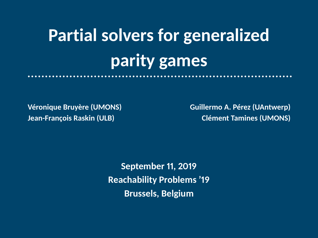# **Partial solvers for generalized parity games**

**Véronique Bruyère (UMONS) Guillermo A. Pérez (UAntwerp) Jean-François Raskin (ULB) Clément Tamines (UMONS)**

> **September 11, 2019 Reachability Problems '19 Brussels, Belgium**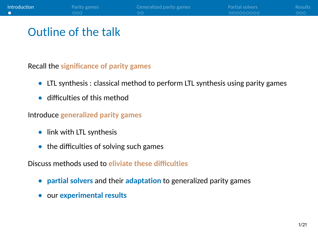## <span id="page-1-0"></span>Outline of the talk

#### Recall the **significance of parity games**

- **•** LTL synthesis : classical method to perform LTL synthesis using parity games
- **•** difficulties of this method

#### Introduce **generalized parity games**

- **•** link with LTL synthesis
- **•** the difficulties of solving such games

Discuss methods used to **eliviate these difficulties**

- **• partial solvers** and their **adaptation** to generalized parity games
- **•** our **experimental results**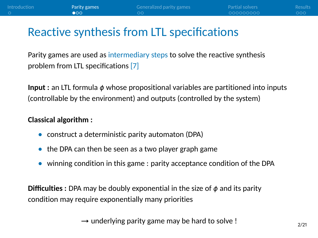## <span id="page-2-0"></span>Reactive synthesis from LTL specifications

Parity games are used as intermediary steps to solve the reactive synthesis problem from LTL specifications [\[7\]](#page-43-0)

**Input :** an LTL formula ϕ whose propositional variables are partitioned into inputs (controllable by the environment) and outputs (controlled by the system)

#### **Classical algorithm :**

- **•** construct a deterministic parity automaton (DPA)
- **•** the DPA can then be seen as a two player graph game
- **•** winning condition in this game : parity acceptance condition of the DPA

**Difficulties :** DPA may be doubly exponential in the size of  $\phi$  and its parity condition may require exponentially many priorities

 $\rightarrow$  underlying parity game may be hard to solve !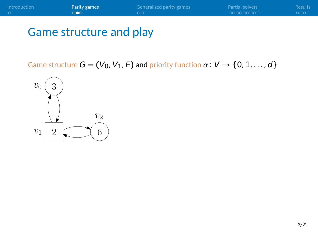| <b>Introduction</b> | Parity games | Generalized parity games | <b>Partial solvers</b> | <b>Results</b> |
|---------------------|--------------|--------------------------|------------------------|----------------|
|                     | $\Omega$     | ററ                       | 000000000              | 000            |
|                     |              |                          |                        |                |

Game structure  $G = (V_0, V_1, E)$  and priority function  $\alpha: V \rightarrow \{0, 1, ..., d\}$ 

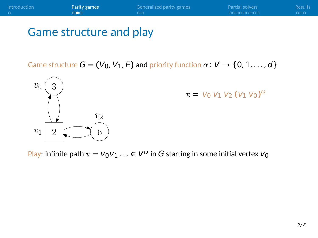| <b>Introduction</b> | Parity games | Generalized parity games | <b>Partial solvers</b> | <b>Results</b> |
|---------------------|--------------|--------------------------|------------------------|----------------|
|                     | $\Omega$     | ററ                       | 000000000              | 000            |
|                     |              |                          |                        |                |

Game structure  $G = (V_0, V_1, E)$  and priority function  $\alpha: V \rightarrow \{0, 1, ..., d\}$ 



 $P|a$ y: infinite path  $π = V<sub>0</sub>V<sub>1</sub>... ∈ V<sup>ω</sup>$  in *G* starting in some initial vertex  $V<sub>0</sub>$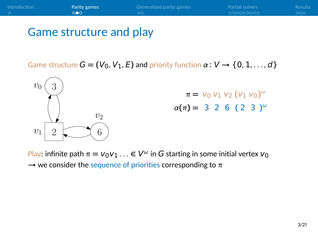| 000000000<br>000<br>LOOO!<br>ററ | <b>Introduction</b> | Parity games | Generalized parity games | <b>Partial solvers</b> | Results |
|---------------------------------|---------------------|--------------|--------------------------|------------------------|---------|
|                                 |                     |              |                          |                        |         |

Game structure  $G = (V_0, V_1, E)$  and priority function  $\alpha: V \rightarrow \{0, 1, ..., d\}$ 



 $P|a$ y: infinite path  $π = V<sub>0</sub>V<sub>1</sub>... ∈ V<sup>ω</sup>$  in *G* starting in some initial vertex  $V<sub>0</sub>$  $\rightarrow$  we consider the sequence of priorities corresponding to  $\pi$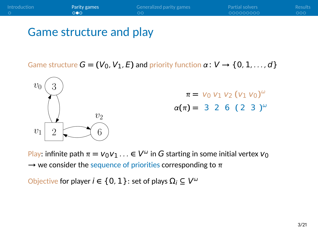| <b>Introduction</b> | Parity games | Generalized parity games | <b>Partial solvers</b> | <b>Results</b> |
|---------------------|--------------|--------------------------|------------------------|----------------|
|                     | ം ∩∩         | ് റവ                     | 000000000              | 000            |
|                     |              |                          |                        |                |

Game structure  $G = (V_0, V_1, E)$  and priority function  $\alpha: V \rightarrow \{0, 1, ..., d\}$ 



 $P|a$ y: infinite path  $π = V<sub>0</sub>V<sub>1</sub>... ∈ V<sup>ω</sup>$  in *G* starting in some initial vertex  $V<sub>0</sub>$  $\rightarrow$  we consider the sequence of priorities corresponding to  $\pi$ 

 $\text{Objective}$  for player  $i \in \{0, 1\}$ : set of plays  $\Omega_i \subseteq V^{\omega}$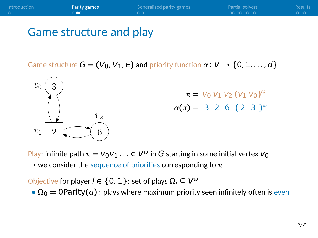| 000000000<br>000<br>.ററെ<br>- ററ | <b>Introduction</b> | Parity games | Generalized parity games | <b>Partial solvers</b> | <b>Results</b> |
|----------------------------------|---------------------|--------------|--------------------------|------------------------|----------------|
|                                  |                     |              |                          |                        |                |

Game structure  $G = (V_0, V_1, E)$  and priority function  $\alpha: V \rightarrow \{0, 1, ..., d\}$ 



 $P|a$ y: infinite path  $π = V<sub>0</sub>V<sub>1</sub>... ∈ V<sup>ω</sup>$  in *G* starting in some initial vertex  $V<sub>0</sub>$  $\rightarrow$  we consider the sequence of priorities corresponding to  $\pi$ 

 $\text{Objective}$  for player  $i \in \{0, 1\}$ : set of plays  $\Omega_i \subseteq V^{\omega}$ 

•  $\Omega_0 = 0$ Parity $(\alpha)$ : plays where maximum priority seen infinitely often is even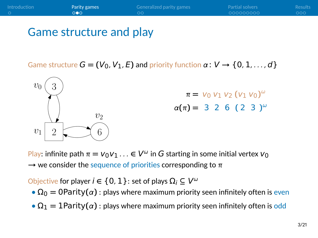Game structure  $G = (V_0, V_1, E)$  and priority function  $\alpha: V \rightarrow \{0, 1, ..., d\}$ 



 $P|a$ y: infinite path  $π = V<sub>0</sub>V<sub>1</sub>... ∈ V<sup>ω</sup>$  in *G* starting in some initial vertex  $V<sub>0</sub>$  $\rightarrow$  we consider the sequence of priorities corresponding to  $\pi$ 

 $\text{Objective}$  for player  $i \in \{0, 1\}$ : set of plays  $\Omega_i \subseteq V^{\omega}$ 

- $\Omega_0 = 0$ Parity $(\alpha)$ : plays where maximum priority seen infinitely often is even
- $\Omega_1 = 1$ Parity $(\alpha)$ : plays where maximum priority seen infinitely often is odd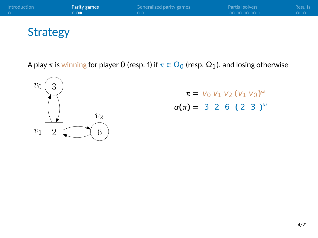| <b>Introduction</b> | <b>Parity games</b> | <b>Generalized parity games</b> | <b>Partial solvers</b> | <b>Results</b> |
|---------------------|---------------------|---------------------------------|------------------------|----------------|
| റ                   | OO                  | ററ                              | 000000000              | 000            |
|                     |                     |                                 |                        |                |

A play  $\pi$  is winning for player 0 (resp. 1) if  $\pi \in \Omega_0$  (resp.  $\Omega_1$ ), and losing otherwise

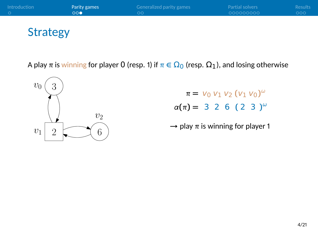| <b>Introduction</b> | Parity games | <b>Generalized parity games</b> | <b>Partial solvers</b> | <b>Results</b> |
|---------------------|--------------|---------------------------------|------------------------|----------------|
| റ                   | OO           | ററ                              | 000000000              | 000            |
|                     |              |                                 |                        |                |

A play  $\pi$  is winning for player 0 (resp. 1) if  $\pi \in \Omega_0$  (resp.  $\Omega_1$ ), and losing otherwise



 $\pi = v_0 v_1 v_2 (v_1 v_0)^\omega$ <sup>α</sup>**(**π**) =** 3 2 6 **(** 2 3 **)** ω

 $\rightarrow$  play  $\pi$  is winning for player 1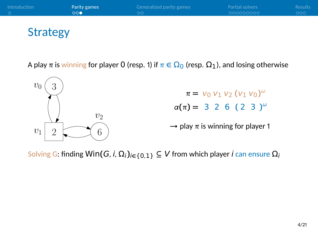| Introduction | Parity games    | <b>Generalized parity games</b> | <b>Partial solvers</b> | Results |
|--------------|-----------------|---------------------------------|------------------------|---------|
| $\cap$       | OO <sub>0</sub> | ററ                              | 000000000              | 000     |
|              |                 |                                 |                        |         |

A play  $\pi$  is winning for player 0 (resp. 1) if  $\pi \in \Omega_0$  (resp.  $\Omega_1$ ), and losing otherwise



Solving G: finding  $Win(G, i, \Omega_i)_{i \in \{0,1\}} \subseteq V$  from which player *i* can ensure  $\Omega_i$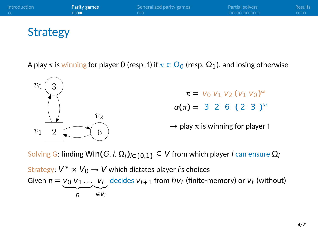

A play  $\pi$  is winning for player 0 (resp. 1) if  $\pi \in \Omega_0$  (resp.  $\Omega_1$ ), and losing otherwise



Solving G: finding  $Win(G, i, Ω<sub>i</sub>)<sub>i</sub> \in {0, 1}$   $\subseteq$  V from which player *i* can ensure  $Ω<sub>i</sub>$ 

Strategy:  $V^* \times V_0 \rightarrow V$  which dictates player *i*'s choices Given  $\pi = v_0 v_1 \dots v_t$  decides  $v_{t+1}$  from  $h v_t$  (finite-memory) or  $v_t$  (without)  $\overline{h}$  $\widetilde{\epsilon V_i}$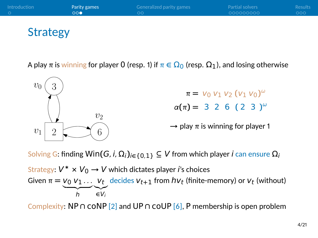

A play  $\pi$  is winning for player 0 (resp. 1) if  $\pi \in \Omega_0$  (resp.  $\Omega_1$ ), and losing otherwise



Solving G: finding  $Win(G, i, \Omega_i)_{i \in \{0,1\}} \subseteq V$  from which player *i* can ensure  $\Omega_i$ 

Strategy:  $V^* \times V_0 \rightarrow V$  which dictates player *i*'s choices Given  $\pi = v_0 v_1 \dots v_t$  decides  $v_{t+1}$  from  $h v_t$  (finite-memory) or  $v_t$  (without)  $\overline{h}$   $\in V_i$ h

Complexity: NP **∩** coNP [\[2\]](#page-42-0) and UP **∩** coUP [\[6\]](#page-43-1), P membership is open problem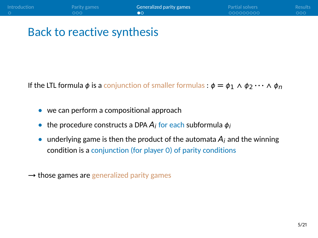#### <span id="page-14-0"></span>Back to reactive synthesis

If the LTL formula  $\phi$  is a conjunction of smaller formulas :  $\phi = \phi_1 \wedge \phi_2 \cdots \wedge \phi_n$ 

- **•** we can perform a compositional approach
- the procedure constructs a DPA A<sub>i</sub> for each subformula  $φ<sub>i</sub>$
- underlying game is then the product of the automata  $A_i$  and the winning condition is a conjunction (for player 0) of parity conditions
- → those games are generalized parity games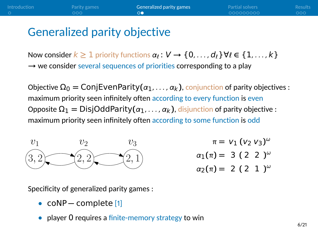#### Generalized parity objective

Now consider  $k \geq 1$  priority functions  $\alpha_k : V \to \{0, \ldots, d_k\}$   $\forall l \in \{1, \ldots, k\}$ → we consider several sequences of priorities corresponding to a play

Objective  $Ω<sub>0</sub> = ConjEvenParity(α<sub>1</sub>, …, α<sub>k</sub>)$ , conjunction of parity objectives : maximum priority seen infinitely often according to every function is even Opposite Ω<sup>1</sup> **=** DisjOddParity**(**α1, . . . , αk**)**, disjunction of parity objective : maximum priority seen infinitely often according to some function is odd



 $\pi = v_1 (v_2 v_3)^{\omega}$ <sup>α</sup>1**(**π**) =** 3 **(** 2 2 **)** ω <sup>α</sup>2**(**π**) =** 2 **(** 2 1 **)** ω

Specificity of generalized parity games :

- **•** coNP **−** complete [\[1\]](#page-42-1)
- **•** player 0 requires a finite-memory strategy to win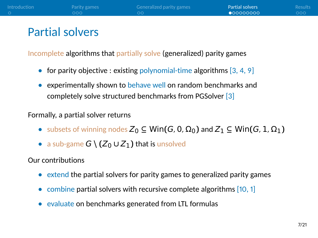#### <span id="page-16-0"></span>Partial solvers

Incomplete algorithms that partially solve (generalized) parity games

- for parity objective : existing polynomial-time algorithms [\[3,](#page-42-2) [4,](#page-42-3) [9\]](#page-44-0)
- **•** experimentally shown to behave well on random benchmarks and completely solve structured benchmarks from PGSolver [\[3\]](#page-42-2)

#### Formally, a partial solver returns

- **•** subsets of winning nodes Z<sup>0</sup> **⊆** Win**(**G,0, Ω0**)** and Z<sup>1</sup> **⊆** Win**(**G,1, Ω1**)**
- a sub-game  $G \setminus (Z_0 \cup Z_1)$  that is unsolved

#### Our contributions

- **•** extend the partial solvers for parity games to generalized parity games
- combine partial solvers with recursive complete algorithms [\[10,](#page-44-1) [1\]](#page-42-1)
- **•** evaluate on benchmarks generated from LTL formulas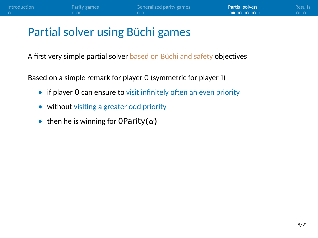A first very simple partial solver based on Büchi and safety objectives

Based on a simple remark for player 0 (symmetric for player 1)

- if player 0 can ensure to visit infinitely often an even priority
- **•** without visiting a greater odd priority
- **•** then he is winning for 0Parity**(**α**)**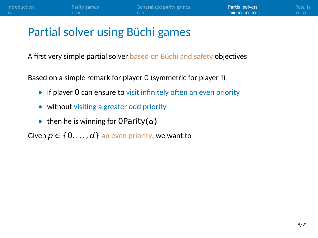A first very simple partial solver based on Büchi and safety objectives

Based on a simple remark for player 0 (symmetric for player 1)

- if player 0 can ensure to visit infinitely often an even priority
- **•** without visiting a greater odd priority
- **•** then he is winning for 0Parity**(**α**)**

Given  $p \in \{0, ..., d\}$  an even priority, we want to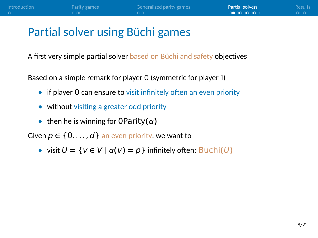A first very simple partial solver based on Büchi and safety objectives

Based on a simple remark for player 0 (symmetric for player 1)

- if player 0 can ensure to visit infinitely often an even priority
- **•** without visiting a greater odd priority
- **•** then he is winning for 0Parity**(**α**)**

Given  $p \in \{0, \ldots, d\}$  an even priority, we want to

• visit  $U = \{v \in V \mid \alpha(v) = p\}$  infinitely often: Buchi(U)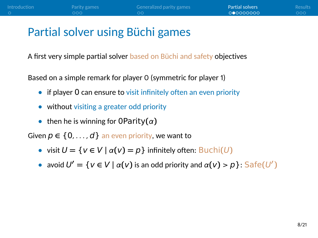A first very simple partial solver based on Büchi and safety objectives

Based on a simple remark for player 0 (symmetric for player 1)

- if player 0 can ensure to visit infinitely often an even priority
- **•** without visiting a greater odd priority
- **•** then he is winning for 0Parity**(**α**)**

Given  $p \in \{0, \ldots, d\}$  an even priority, we want to

- **•** visit U **=** {v **∈** V **|** <sup>α</sup>**(**v**) =** p} infinitely often: Buchi**(**U**)**
- **•** avoid  $U' = \{v \in V \mid \alpha(v) \text{ is an odd priority and } \alpha(v) > p\}$ : Safe $(U')$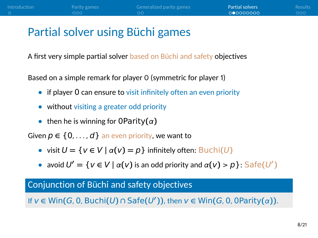A first very simple partial solver based on Büchi and safety objectives

Based on a simple remark for player 0 (symmetric for player 1)

- **if player 0 can ensure to visit infinitely often an even priority**
- **•** without visiting a greater odd priority
- **•** then he is winning for 0Parity**(**α**)**

Given  $p \in \{0, \ldots, d\}$  an even priority, we want to

- **•** visit  $U = \{v \in V | \alpha(v) = p\}$  infinitely often: Buchi(U)
- **•** avoid  $U' = \{v \in V \mid \alpha(v) \text{ is an odd priority and } \alpha(v) > p\}$ : Safe $(U')$

Conjunction of Büchi and safety objectives

If  $v \in \text{Win}(G, 0, \text{Buchi}(U) \cap \text{Safe}(U'))$ , then  $v \in \text{Win}(G, 0, \text{0Parity}(\alpha))$ .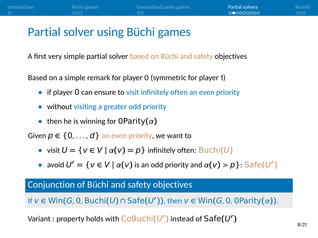A first very simple partial solver based on Büchi and safety objectives

Based on a simple remark for player 0 (symmetric for player 1)

- **if player 0 can ensure to visit infinitely often an even priority**
- **•** without visiting a greater odd priority
- **•** then he is winning for 0Parity**(**α**)**

Given  $p \in \{0, \ldots, d\}$  an even priority, we want to

- **•** visit U **=** {v **∈** V **|** <sup>α</sup>**(**v**) =** p} infinitely often: Buchi**(**U**)**
- **•** avoid  $U' = \{v \in V \mid \alpha(v) \text{ is an odd priority and } \alpha(v) > p\}$ : Safe $(U')$

#### Conjunction of Büchi and safety objectives

If  $v \in \text{Win}(G, 0, \text{Buchi}(U) \cap \text{Safe}(U'))$ , then  $v \in \text{Win}(G, 0, \text{0Parity}(\alpha))$ .

Variant : property holds with  $\overline{\mathsf{CoBuchi}}(U')$  instead of  $\mathsf{Safe}(U')$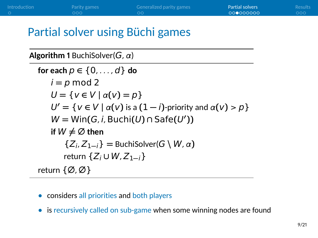**Algorithm 1** BuchiSolver(G, α) **for each**  $p \in \{0, \ldots, d\}$  do  $i = p \mod 2$  $U = {v ∈ V | α(v) = p}$  $U' = \{v \in V \mid \alpha(v) \text{ is a } (1-i)\text{-priority and } \alpha(v) > p\}$  $W = Win(G, i, Buchi(U) \cap Safe(U'))$ **if**  $W \neq \emptyset$  then  ${Z_i, Z_{1-i}}$  = BuchiSolver( $G \setminus W, \alpha$ ) return {Z<sup>i</sup> **∪** W,Z1**−**i} return {∅, ∅}

- **•** considers all priorities and both players
- **•** is recursively called on sub-game when some winning nodes are found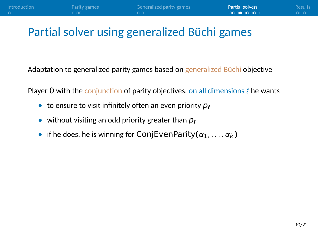Adaptation to generalized parity games based on generalized Büchi objective

Player 0 with the conjunction of parity objectives, on all dimensions  $\ell$  he wants

- to ensure to visit infinitely often an even priority  $p$ <sub>*l*</sub>
- **•** without visiting an odd priority greater than  $p$ <sub>ℓ</sub>
- **•** if he does, he is winning for ConjEvenParity $(\alpha_1, \ldots, \alpha_k)$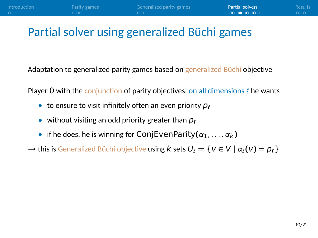Adaptation to generalized parity games based on generalized Büchi objective

Player 0 with the conjunction of parity objectives, on all dimensions  $\ell$  he wants

- to ensure to visit infinitely often an even priority  $p$ <sub>*l*</sub>
- without visiting an odd priority greater than  $p_{\ell}$
- **•** if he does, he is winning for ConjEvenParity $(\alpha_1, \ldots, \alpha_k)$
- $\rightarrow$  this is Generalized Büchi objective using k sets  $U_i = \{v \in V \mid \alpha_i(v) = p_i\}$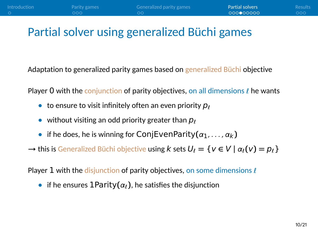Adaptation to generalized parity games based on generalized Büchi objective

Player 0 with the conjunction of parity objectives, on all dimensions  $\ell$  he wants

- to ensure to visit infinitely often an even priority  $p_{\ell}$
- without visiting an odd priority greater than  $p_{\ell}$
- **•** if he does, he is winning for ConjEvenParity $(\alpha_1, \ldots, \alpha_k)$

 $\rightarrow$  this is Generalized Büchi objective using k sets  $U_i = \{v \in V \mid \alpha_i(v) = p_i\}$ 

Player 1 with the disjunction of parity objectives, on some dimensions  $\ell$ 

• if he ensures  $1$ Parity $(\alpha_i)$ , he satisfies the disjunction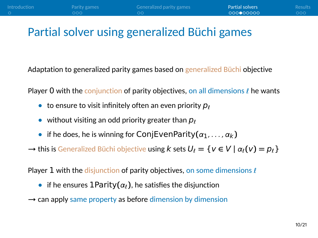Adaptation to generalized parity games based on generalized Büchi objective

Player 0 with the conjunction of parity objectives, on all dimensions  $\ell$  he wants

- to ensure to visit infinitely often an even priority  $p_{\ell}$
- without visiting an odd priority greater than  $p_{\ell}$
- **•** if he does, he is winning for ConjEvenParity $(\alpha_1, \ldots, \alpha_k)$

 $\rightarrow$  this is Generalized Büchi objective using k sets  $U_i = \{v \in V \mid \alpha_i(v) = p_i\}$ 

Player 1 with the disjunction of parity objectives, on some dimensions  $\ell$ 

- if he ensures  $1$ Parity $(\alpha_i)$ , he satisfies the disjunction
- → can apply same property as before dimension by dimension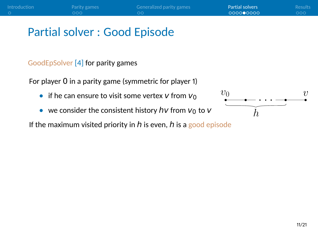#### Partial solver : Good Episode

GoodEpSolver [\[4\]](#page-42-3) for parity games

For player 0 in a parity game (symmetric for player 1)

- if he can ensure to visit some vertex  $V$  from  $V_0$
- we consider the consistent history  $hv$  from  $v_0$  to  $v_0$

If the maximum visited priority in h is even, h is a good episode

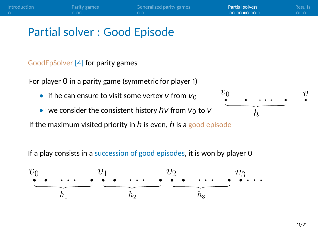#### Partial solver : Good Episode

GoodEpSolver [\[4\]](#page-42-3) for parity games

For player 0 in a parity game (symmetric for player 1)

- if he can ensure to visit some vertex V from V<sub>0</sub>
- we consider the consistent history  $hv$  from  $v_0$  to  $v_0$

If the maximum visited priority in h is even, h is a good episode

If a play consists in a succession of good episodes, it is won by player 0



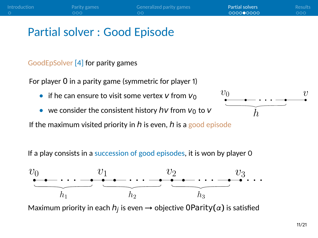#### Partial solver : Good Episode

GoodEpSolver [\[4\]](#page-42-3) for parity games

For player 0 in a parity game (symmetric for player 1)

- if he can ensure to visit some vertex  $V$  from  $V_0$
- we consider the consistent history  $hv$  from  $v_0$  to  $v_0$

If the maximum visited priority in  $h$  is even,  $h$  is a good episode

If a play consists in a succession of good episodes, it is won by player 0



Maximum priority in each  $h_j$  is even  $\rightarrow$  objective  $\mathsf{OParity}(\alpha)$  is satisfied

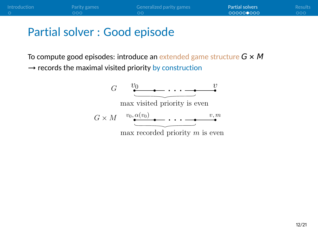#### Partial solver : Good episode

To compute good episodes: introduce an extended game structure G **×** M → records the maximal visited priority by construction

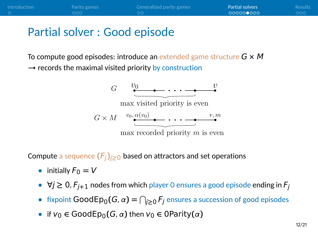#### Partial solver : Good episode

To compute good episodes: introduce an extended game structure G **×** M → records the maximal visited priority by construction



Compute a sequence  $(F_i)_{i\geq 0}$  based on attractors and set operations

- initially  $F_0 = V$
- **•** <sup>∀</sup><sup>j</sup> **<sup>≥</sup>** <sup>0</sup>, <sup>F</sup>j**+**<sup>1</sup> nodes from which player 0 ensures a good episode ending in <sup>F</sup><sup>j</sup>
- **•** fixpoint  $\textsf{GoodEp}_0(G, \alpha) = \bigcap_{j \geq 0} F_j$  ensures a succession of good episodes
- **•** if  $v_0 \in GoodEp_0(G, \alpha)$  then  $v_0 \in OP$ arity $(\alpha)$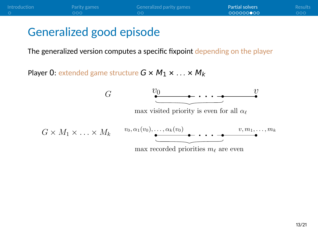## Generalized good episode

The generalized version computes a specific fixpoint depending on the player

Player 0: extended game structure  $G \times M_1 \times \ldots \times M_k$ 

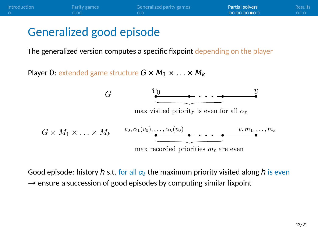## Generalized good episode

The generalized version computes a specific fixpoint depending on the player

Player 0: extended game structure  $G \times M_1 \times \ldots \times M_k$ 



Good episode: history h s.t. for all  $\alpha_l$  the maximum priority visited along h is even → ensure a succession of good episodes by computing similar fixpoint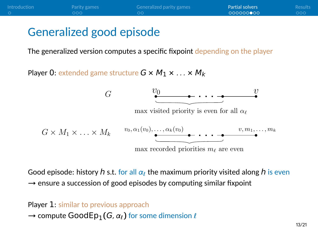## Generalized good episode

The generalized version computes a specific fixpoint depending on the player

Player 0: extended game structure  $G \times M_1 \times \ldots \times M_k$ 



Good episode: history h s.t. for all  $\alpha_l$  the maximum priority visited along h is even → ensure a succession of good episodes by computing similar fixpoint

#### Player 1: similar to previous approach  $\rightarrow$  compute GoodEp<sub>1</sub>(*G*,  $\alpha$ <sub>*l*</sub>) for some dimension *l*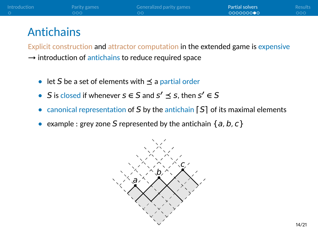#### Antichains

Explicit construction and attractor computation in the extended game is expensive

- → introduction of antichains to reduce required space
	- let S be a set of elements with  $\preceq$  a partial order
	- **•** S is closed if whenever  $s \in S$  and  $s' \preceq s$ , then  $s' \in S$
	- canonical representation of S by the antichain **[S]** of its maximal elements
	- example : grey zone S represented by the antichain  $\{a, b, c\}$

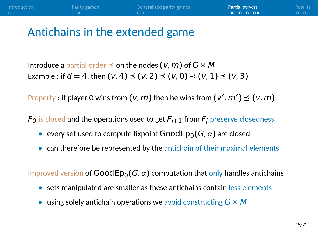#### Antichains in the extended game

Introduce a partial order  $\preceq$  on the nodes  $(v, m)$  of  $G \times M$ Example : if  $d = 4$ , then  $(v, 4) \le (v, 2) \le (v, 0) \le (v, 1) \le (v, 3)$ 

 $\mathsf{Property} : \mathsf{if} \mathsf{player} \mathsf{0} \mathsf{ wins} \mathsf{from} \left(\mathsf{V}, m\right) \mathsf{then} \mathsf{he} \mathsf{ wins} \mathsf{from} \left(\mathsf{V}', m'\right) \preceq \left(\mathsf{V}, m\right)$ 

 $F_0$  is closed and the operations used to get  $F_{i+1}$  from  $F_i$  preserve closedness

- **•** every set used to compute fixpoint  $GoodEp<sub>0</sub>(G, \alpha)$  are closed
- **•** can therefore be represented by the antichain of their maximal elements

Improved version of  $GoodEp<sub>0</sub>(G, \alpha)$  computation that only handles antichains

- **•** sets manipulated are smaller as these antichains contain less elements
- **•** using solely antichain operations we avoid constructing G **×** M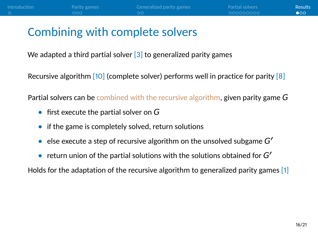## <span id="page-38-0"></span>Combining with complete solvers

We adapted a third partial solver  $\left[3\right]$  to generalized parity games

Recursive algorithm [\[10\]](#page-44-1) (complete solver) performs well in practice for parity [\[8\]](#page-44-2)

Partial solvers can be combined with the recursive algorithm, given parity game G

- **•** first execute the partial solver on G
- **•** if the game is completely solved, return solutions
- else execute a step of recursive algorithm on the unsolved subgame  $G'$
- return union of the partial solutions with the solutions obtained for  $G'$

Holds for the adaptation of the recursive algorithm to generalized parity games [\[1\]](#page-42-1)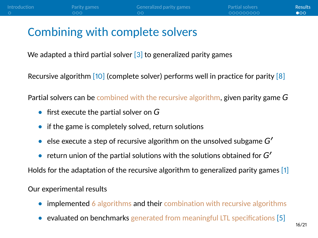## Combining with complete solvers

We adapted a third partial solver  $\left[3\right]$  to generalized parity games

Recursive algorithm [\[10\]](#page-44-1) (complete solver) performs well in practice for parity [\[8\]](#page-44-2)

Partial solvers can be combined with the recursive algorithm, given parity game G

- **•** first execute the partial solver on G
- **•** if the game is completely solved, return solutions
- else execute a step of recursive algorithm on the unsolved subgame  $G'$
- return union of the partial solutions with the solutions obtained for  $G'$

Holds for the adaptation of the recursive algorithm to generalized parity games [\[1\]](#page-42-1)

Our experimental results

- **implemented 6** algorithms and their combination with recursive algorithms
- evaluated on benchmarks generated from meaningful LTL specifications [\[5\]](#page-43-2)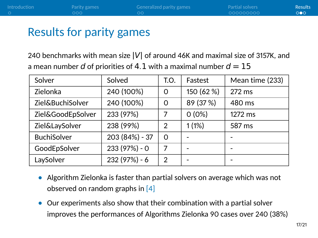#### Results for parity games

240 benchmarks with mean size **|**V**|** of around 46K and maximal size of 3157K, and a mean number d of priorities of 4.1 with a maximal number  $d = 15$ 

| Solver             | Solved         | T.O.     | Fastest    | Mean time (233) |
|--------------------|----------------|----------|------------|-----------------|
| Zielonka           | 240 (100%)     | $\Omega$ | 150 (62 %) | 272 ms          |
| Ziel&BuchiSolver   | 240 (100%)     | $\Omega$ | 89 (37 %)  | 480 ms          |
| Ziel&GoodEpSolver  | 233 (97%)      | 7        | $0(0\%)$   | 1272 ms         |
| Ziel&LaySolver     | 238 (99%)      | 2        | 1(1%)      | 587 ms          |
| <b>BuchiSolver</b> | 203 (84%) - 37 | $\Omega$ |            |                 |
| GoodEpSolver       | 233 (97%) - 0  | 7        |            |                 |
| LavSolver          | $232(97%) - 6$ | 2        |            |                 |

- **•** Algorithm Zielonka is faster than partial solvers on average which was not observed on random graphs in [\[4\]](#page-42-3)
- **•** Our experiments also show that their combination with a partial solver improves the performances of Algorithms Zielonka 90 cases over 240 (38%)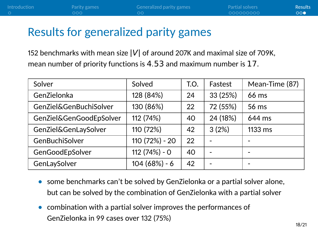## Results for generalized parity games

152 benchmarks with mean size **|**V**|** of around 207K and maximal size of 709K, mean number of priority functions is 4.53 and maximum number is 17.

| Solver                  | Solved         | T.O. | Fastest  | Mean-Time (87) |
|-------------------------|----------------|------|----------|----------------|
| GenZielonka             | 128 (84%)      | 24   | 33 (25%) | 66 ms          |
| GenZiel&GenBuchiSolver  | 130 (86%)      | 22   | 72 (55%) | 56 ms          |
| GenZiel&GenGoodEpSolver | 112 (74%)      | 40   | 24 (18%) | 644 ms         |
| GenZiel&GenLaySolver    | 110 (72%)      | 42   | 3(2%)    | 1133 ms        |
| GenBuchiSolver          | 110 (72%) - 20 | 22   |          |                |
| GenGoodEpSolver         | $112(74%) - 0$ | 40   |          |                |
| GenLaySolver            | $104(68%) - 6$ | 42   |          |                |

- **•** some benchmarks can't be solved by GenZielonka or a partial solver alone, but can be solved by the combination of GenZielonka with a partial solver
- **•** combination with a partial solver improves the performances of GenZielonka in 99 cases over 132 (75%)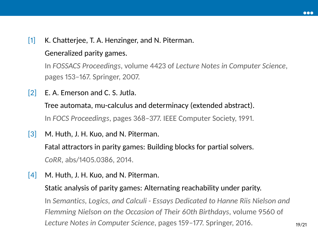<span id="page-42-1"></span>[1] K. Chatterjee, T. A. Henzinger, and N. Piterman.

#### Generalized parity games.

In *FOSSACS Proceedings*, volume 4423 of *Lecture Notes in Computer Science*, pages 153–167. Springer, 2007.

<span id="page-42-0"></span> $[2]$  F. A. Emerson and C. S. Jutla.

Tree automata, mu-calculus and determinacy (extended abstract). In *FOCS Proceedings*, pages 368–377. IEEE Computer Society, 1991.

<span id="page-42-2"></span>[3] M. Huth, J. H. Kuo, and N. Piterman.

Fatal attractors in parity games: Building blocks for partial solvers. *CoRR*, abs/1405.0386, 2014.

<span id="page-42-3"></span>[4] M. Huth, J. H. Kuo, and N. Piterman.

Static analysis of parity games: Alternating reachability under parity. In *Semantics, Logics, and Calculi - Essays Dedicated to Hanne Riis Nielson and Flemming Nielson on the Occasion of Their 60th Birthdays*, volume 9560 of *Lecture Notes in Computer Science, pages 159–177. Springer, 2016.* 19/21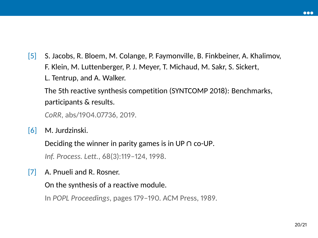<span id="page-43-2"></span>[5] S. Jacobs, R. Bloem, M. Colange, P. Faymonville, B. Finkbeiner, A. Khalimov, F. Klein, M. Luttenberger, P. J. Meyer, T. Michaud, M. Sakr, S. Sickert, L. Tentrup, and A. Walker.

The 5th reactive synthesis competition (SYNTCOMP 2018): Benchmarks, participants & results.

*CoRR*, abs/1904.07736, 2019.

<span id="page-43-1"></span>[6] M. Jurdzinski.

Deciding the winner in parity games is in UP **∩** co-UP. *Inf. Process. Lett.*, 68(3):119–124, 1998.

<span id="page-43-0"></span>[7] A. Pnueli and R. Rosner.

On the synthesis of a reactive module.

In *POPL Proceedings*, pages 179–190. ACM Press, 1989.